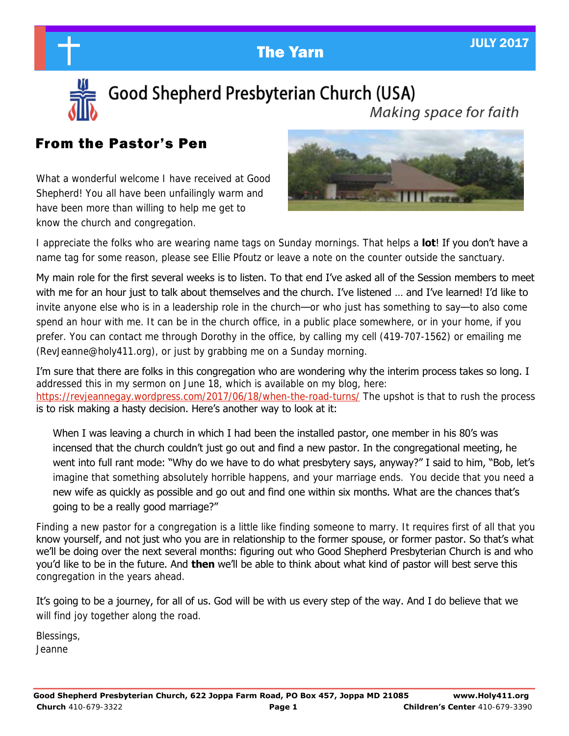



Good Shepherd Presbyterian Church (USA) Making space for faith

# From the Pastor's Pen

What a wonderful welcome I have received at Good Shepherd! You all have been unfailingly warm and have been more than willing to help me get to know the church and congregation.



I appreciate the folks who are wearing name tags on Sunday mornings. That helps a **lot**! If you don't have a name tag for some reason, please see Ellie Pfoutz or leave a note on the counter outside the sanctuary.

My main role for the first several weeks is to listen. To that end I've asked all of the Session members to meet with me for an hour just to talk about themselves and the church. I've listened … and I've learned! I'd like to invite anyone else who is in a leadership role in the church—or who just has something to say—to also come spend an hour with me. It can be in the church office, in a public place somewhere, or in your home, if you prefer. You can contact me through Dorothy in the office, by calling my cell (419-707-1562) or emailing me (RevJeanne@holy411.org), or just by grabbing me on a Sunday morning.

I'm sure that there are folks in this congregation who are wondering why the interim process takes so long. I addressed this in my sermon on June 18, which is available on my blog, here: [https://revjeannegay.wordpress.com/2017/06/18/when-the-road-turns/ T](https://revjeannegay.wordpress.com/2017/06/18/when-the-road-turns/)he upshot is that to rush the process is to risk making a hasty decision. Here's another way to look at it:

When I was leaving a church in which I had been the installed pastor, one member in his 80's was incensed that the church couldn't just go out and find a new pastor. In the congregational meeting, he went into full rant mode: "Why do we have to do what presbytery says, anyway?" I said to him, "Bob, let's imagine that something absolutely horrible happens, and your marriage ends. You decide that you need a new wife as quickly as possible and go out and find one within six months. What are the chances that's going to be a really good marriage?"

Finding a new pastor for a congregation is a little like finding someone to marry. It requires first of all that you know yourself, and not just who you are in relationship to the former spouse, or former pastor. So that's what we'll be doing over the next several months: figuring out who Good Shepherd Presbyterian Church is and who you'd like to be in the future. And **then** we'll be able to think about what kind of pastor will best serve this congregation in the years ahead.

It's going to be a journey, for all of us. God will be with us every step of the way. And I do believe that we will find joy together along the road.

Blessings, Jeanne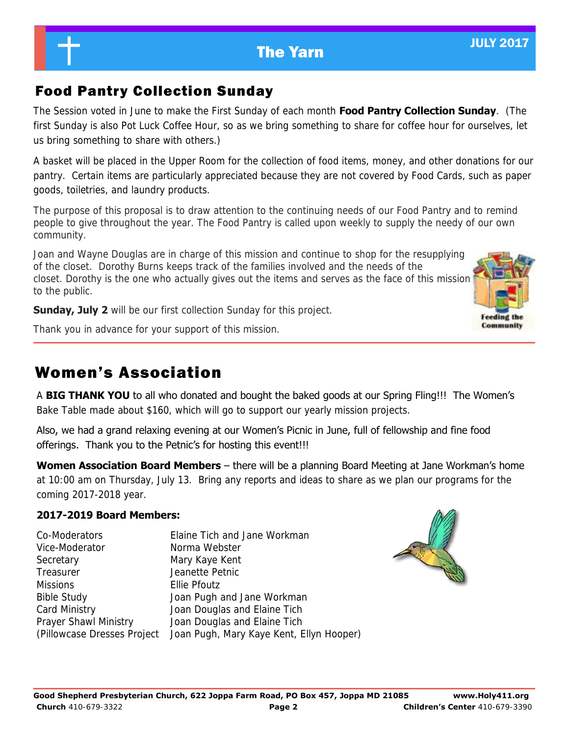**Community** 

# Food Pantry Collection Sunday

The Session voted in June to make the First Sunday of each month **Food Pantry Collection Sunday**. (The first Sunday is also Pot Luck Coffee Hour, so as we bring something to share for coffee hour for ourselves, let us bring something to share with others.)

A basket will be placed in the Upper Room for the collection of food items, money, and other donations for our pantry. Certain items are particularly appreciated because they are not covered by Food Cards, such as paper goods, toiletries, and laundry products.

The purpose of this proposal is to draw attention to the continuing needs of our Food Pantry and to remind people to give throughout the year. The Food Pantry is called upon weekly to supply the needy of our own community.

Joan and Wayne Douglas are in charge of this mission and continue to shop for the resupplying of the closet. Dorothy Burns keeps track of the families involved and the needs of the closet. Dorothy is the one who actually gives out the items and serves as the face of this mission to the public.

**Sunday, July 2** will be our first collection Sunday for this project.

Thank you in advance for your support of this mission.

# Women's Association

A **BIG THANK YOU** to all who donated and bought the baked goods at our Spring Fling!!! The Women's Bake Table made about \$160, which will go to support our yearly mission projects.

Also, we had a grand relaxing evening at our Women's Picnic in June, full of fellowship and fine food offerings. Thank you to the Petnic's for hosting this event!!!

**Women Association Board Members** – there will be a planning Board Meeting at Jane Workman's home at 10:00 am on Thursday, July 13. Bring any reports and ideas to share as we plan our programs for the coming 2017-2018 year.

## **2017-2019 Board Members:**

| Co-Moderators               | Elaine Tich and Jane Workman             |
|-----------------------------|------------------------------------------|
| Vice-Moderator              | Norma Webster                            |
| Secretary                   | Mary Kaye Kent                           |
| Treasurer                   | Jeanette Petnic                          |
| <b>Missions</b>             | Ellie Pfoutz                             |
| <b>Bible Study</b>          | Joan Pugh and Jane Workman               |
| Card Ministry               | Joan Douglas and Elaine Tich             |
| Prayer Shawl Ministry       | Joan Douglas and Elaine Tich             |
| (Pillowcase Dresses Project | Joan Pugh, Mary Kaye Kent, Ellyn Hooper) |

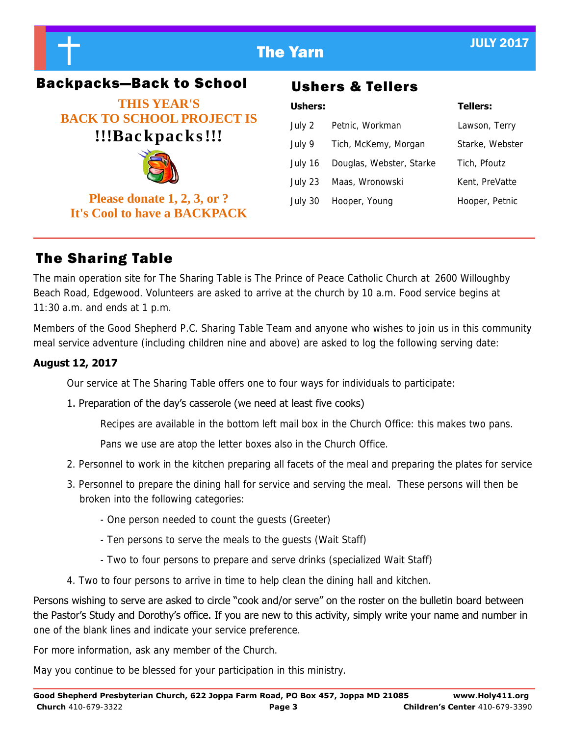



# Backpacks—Back to School Ushers & Tellers

**THIS YEAR'S BACK TO SCHOOL PROJECT IS !!!Bac kpac ks !!!** 



**Please donate 1, 2, 3, or ? It's Cool to have a BACKPACK** 

| <b>Ushers:</b> |                          | <b>Tellers:</b> |
|----------------|--------------------------|-----------------|
| July 2         | Petnic, Workman          | Lawson, Terry   |
| July 9         | Tich, McKemy, Morgan     | Starke, Webster |
| July 16        | Douglas, Webster, Starke | Tich, Pfoutz    |
| July 23        | Maas, Wronowski          | Kent, PreVatte  |
| July 30        | Hooper, Young            | Hooper, Petnic  |
|                |                          |                 |

# The Sharing Table

The main operation site for The Sharing Table is The Prince of Peace Catholic Church at 2600 Willoughby Beach Road, Edgewood. Volunteers are asked to arrive at the church by 10 a.m. Food service begins at  $11:30$  a.m. and ends at 1 p.m.

Members of the Good Shepherd P.C. Sharing Table Team and anyone who wishes to join us in this community meal service adventure (including children nine and above) are asked to log the following serving date:

## **August 12, 2017**

Our service at The Sharing Table offers one to four ways for individuals to participate:

## 1. Preparation of the day's casserole (we need at least five cooks)

Recipes are available in the bottom left mail box in the Church Office: this makes two pans.

Pans we use are atop the letter boxes also in the Church Office.

- 2. Personnel to work in the kitchen preparing all facets of the meal and preparing the plates for service
- 3. Personnel to prepare the dining hall for service and serving the meal. These persons will then be broken into the following categories:
	- One person needed to count the guests (Greeter)
	- Ten persons to serve the meals to the guests (Wait Staff)
	- Two to four persons to prepare and serve drinks (specialized Wait Staff)
- 4. Two to four persons to arrive in time to help clean the dining hall and kitchen.

Persons wishing to serve are asked to circle "cook and/or serve" on the roster on the bulletin board between the Pastor's Study and Dorothy's office. If you are new to this activity, simply write your name and number in one of the blank lines and indicate your service preference.

For more information, ask any member of the Church.

May you continue to be blessed for your participation in this ministry.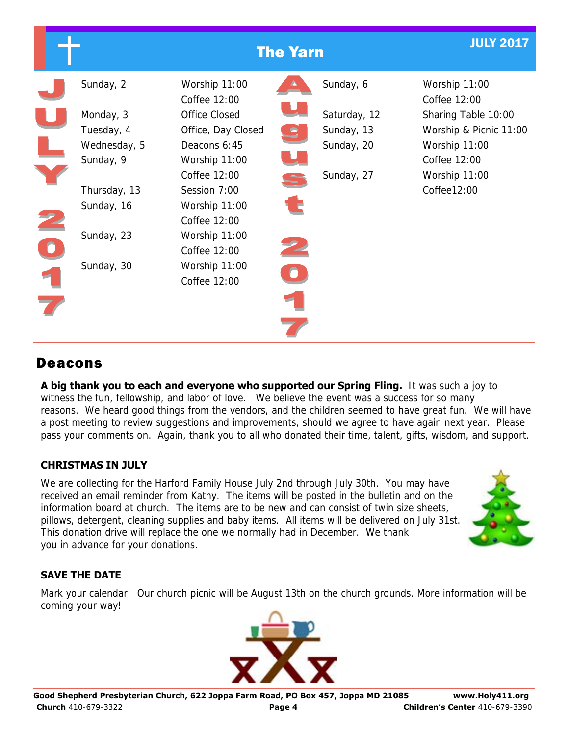|                                                     | <b>The Yarn</b> |                                                     |                                                          |  |                                                                |  |
|-----------------------------------------------------|-----------------|-----------------------------------------------------|----------------------------------------------------------|--|----------------------------------------------------------------|--|
| Sunday, 2                                           |                 | Worship 11:00<br>Coffee 12:00                       | Sunday, 6                                                |  | Worship 11:00<br>Coffee 12:00                                  |  |
| Monday, 3<br>Tuesday, 4<br>Wednesday, 5             |                 | Office Closed<br>Office, Day Closed<br>Deacons 6:45 | Saturday, 12<br>Sunday, 13<br>$\mathbf{S}$<br>Sunday, 20 |  | Sharing Table 10:00<br>Worship & Picnic 11:00<br>Worship 11:00 |  |
| Sunday, 9<br>Thursday, 13                           |                 | Worship 11:00<br>Coffee 12:00<br>Session 7:00       | Sunday, 27                                               |  | Coffee 12:00<br>Worship 11:00<br>Coffee12:00                   |  |
| Sunday, 16                                          |                 | Worship 11:00<br>Coffee 12:00                       |                                                          |  |                                                                |  |
| Sunday, 23<br>$\overline{\mathbf{0}}$<br>Sunday, 30 |                 | Worship 11:00<br>Coffee 12:00<br>Worship 11:00      |                                                          |  |                                                                |  |
|                                                     |                 | Coffee 12:00                                        | $\bullet$                                                |  |                                                                |  |

# Deacons

**A big thank you to each and everyone who supported our Spring Fling.** It was such a joy to witness the fun, fellowship, and labor of love. We believe the event was a success for so many reasons. We heard good things from the vendors, and the children seemed to have great fun. We will have a post meeting to review suggestions and improvements, should we agree to have again next year. Please pass your comments on. Again, thank you to all who donated their time, talent, gifts, wisdom, and support.

## **CHRISTMAS IN JULY**

We are collecting for the Harford Family House July 2nd through July 30th. You may have received an email reminder from Kathy. The items will be posted in the bulletin and on the information board at church. The items are to be new and can consist of twin size sheets, pillows, detergent, cleaning supplies and baby items. All items will be delivered on July 31st. This donation drive will replace the one we normally had in December. We thank you in advance for your donations.



## **SAVE THE DATE**

Mark your calendar! Our church picnic will be August 13th on the church grounds. More information will be coming your way!

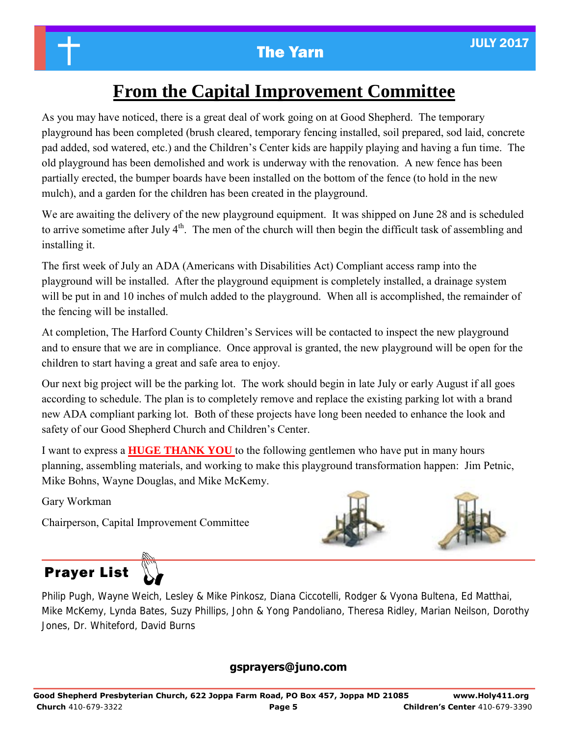# **From the Capital Improvement Committee**

As you may have noticed, there is a great deal of work going on at Good Shepherd. The temporary playground has been completed (brush cleared, temporary fencing installed, soil prepared, sod laid, concrete pad added, sod watered, etc.) and the Children's Center kids are happily playing and having a fun time. The old playground has been demolished and work is underway with the renovation. A new fence has been partially erected, the bumper boards have been installed on the bottom of the fence (to hold in the new mulch), and a garden for the children has been created in the playground.

We are awaiting the delivery of the new playground equipment. It was shipped on June 28 and is scheduled to arrive sometime after July  $4<sup>th</sup>$ . The men of the church will then begin the difficult task of assembling and installing it.

The first week of July an ADA (Americans with Disabilities Act) Compliant access ramp into the playground will be installed. After the playground equipment is completely installed, a drainage system will be put in and 10 inches of mulch added to the playground. When all is accomplished, the remainder of the fencing will be installed.

At completion, The Harford County Children's Services will be contacted to inspect the new playground and to ensure that we are in compliance. Once approval is granted, the new playground will be open for the children to start having a great and safe area to enjoy.

Our next big project will be the parking lot. The work should begin in late July or early August if all goes according to schedule. The plan is to completely remove and replace the existing parking lot with a brand new ADA compliant parking lot. Both of these projects have long been needed to enhance the look and safety of our Good Shepherd Church and Children's Center.

I want to express a **HUGE THANK YOU** to the following gentlemen who have put in many hours planning, assembling materials, and working to make this playground transformation happen: Jim Petnic, Mike Bohns, Wayne Douglas, and Mike McKemy.

Gary Workman

Chairperson, Capital Improvement Committee







Philip Pugh, Wayne Weich, Lesley & Mike Pinkosz, Diana Ciccotelli, Rodger & Vyona Bultena, Ed Matthai, Mike McKemy, Lynda Bates, Suzy Phillips, John & Yong Pandoliano, Theresa Ridley, Marian Neilson, Dorothy Jones, Dr. Whiteford, David Burns

## **gsprayers@juno.com**